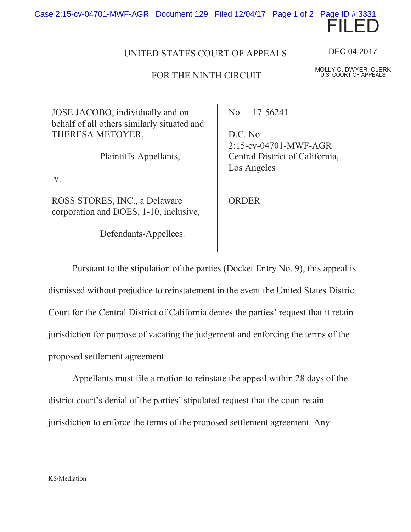

## FOR THE NINTH CIRCUIT

JOSE JACOBO, individually and on behalf of all others similarly situated and THERESA METOYER,

Plaintiffs-Appellants,

v.

ROSS STORES, INC., a Delaware corporation and DOES, 1-10, inclusive,

Defendants-Appellees.

No. 17-56241

D.C. No. 2:15-cv-04701-MWF-AGR Central District of California, Los Angeles

**ORDER** 

Pursuant to the stipulation of the parties (Docket Entry No. 9), this appeal is dismissed without prejudice to reinstatement in the event the United States District Court for the Central District of California denies the parties' request that it retain jurisdiction for purpose of vacating the judgement and enforcing the terms of the proposed settlement agreement.

Appellants must file a motion to reinstate the appeal within 28 days of the district court's denial of the parties' stipulated request that the court retain jurisdiction to enforce the terms of the proposed settlement agreement. Any



MOLLY C. DWYER, CLERK U.S. COURT OF APPEALS

FILED